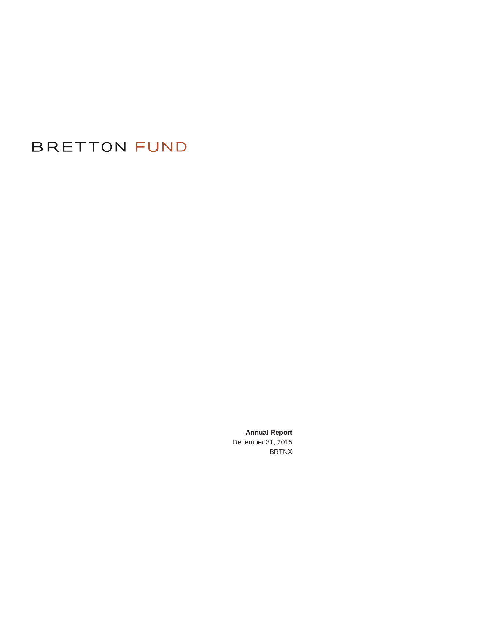# **BRETTON FUND**

**Annual Report** December 31, 2015 BRTNX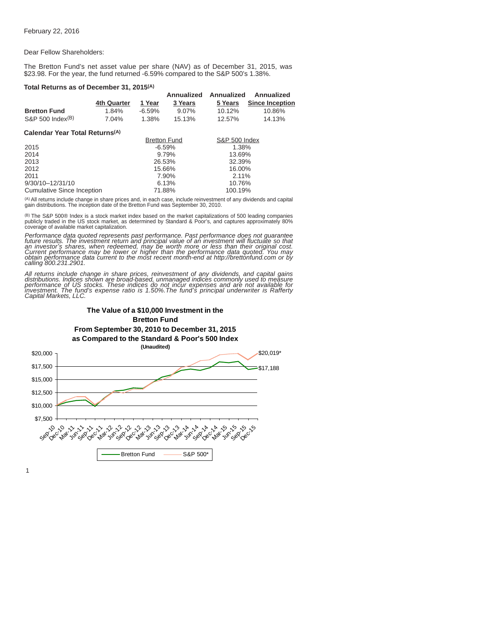Dear Fellow Shareholders:

The Bretton Fund's net asset value per share (NAV) as of December 31, 2015, was \$23.98. For the year, the fund returned -6.59% compared to the S&P 500's 1.38%.

### **Total Returns as of December 31, 2015(A)**

|                                            |             |          | Annualized          | Annualized               | Annualized             |
|--------------------------------------------|-------------|----------|---------------------|--------------------------|------------------------|
|                                            | 4th Quarter | 1 Year   | 3 Years             | 5 Years                  | <b>Since Inception</b> |
| <b>Bretton Fund</b>                        | 1.84%       | $-6.59%$ | 9.07%               | 10.12%                   | 10.86%                 |
| S&P 500 $Index(B)$                         | 7.04%       | 1.38%    | 15.13%              | 12.57%                   | 14.13%                 |
| Calendar Year Total Returns <sup>(A)</sup> |             |          |                     |                          |                        |
|                                            |             |          | <b>Bretton Fund</b> | <b>S&amp;P 500 Index</b> |                        |
| 2015                                       |             |          | $-6.59%$            | 1.38%                    |                        |
| 2014                                       |             |          | 9.79%               | 13.69%                   |                        |
| 2013                                       |             | 26.53%   |                     | 32.39%                   |                        |
| 2012                                       |             |          | 15.66%              | 16.00%                   |                        |
| 2011                                       |             |          | 7.90%               | 2.11%                    |                        |
| 9/30/10-12/31/10                           |             |          | 6.13%               | 10.76%                   |                        |
| Cumulative Since Inception                 |             |          | 71.88%              | 100.19%                  |                        |

(A) All returns include change in share prices and, in each case, include reinvestment of any dividends and capital gain distributions. The inception date of the Bretton Fund was September 30, 2010.

(B) The S&P 500® Index is a stock market index based on the market capitalizations of 500 leading companies publicly traded in the US stock market, as determined by Standard & Poor's, and captures approximately 80% coverage of available market capitalization.

Performance data quoted represents past performance. Past performance does not guarantee<br>future results. The investment return and principal value of an investment will fluctuate so that<br>an investor's shares, when redeemed

All returns include change in share prices, reinvestment of any dividends, and capital gains<br>distributions. Indices shown are broad-based, unmanaged indices commonly used to measure<br>performance of US stocks. These indices

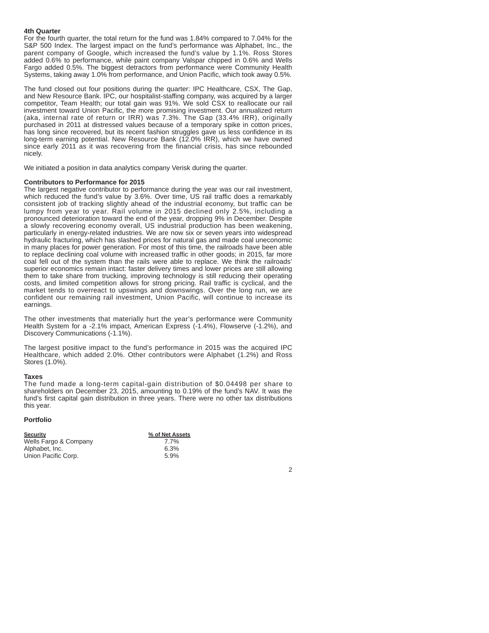# **4th Quarter**

For the fourth quarter, the total return for the fund was 1.84% compared to 7.04% for the S&P 500 Index. The largest impact on the fund's performance was Alphabet, Inc., the parent company of Google, which increased the fund's value by 1.1%. Ross Stores added 0.6% to performance, while paint company Valspar chipped in 0.6% and Wells Fargo added 0.5%. The biggest detractors from performance were Community Health Systems, taking away 1.0% from performance, and Union Pacific, which took away 0.5%.

The fund closed out four positions during the quarter: IPC Healthcare, CSX, The Gap, and New Resource Bank. IPC, our hospitalist-staffing company, was acquired by a larger competitor, Team Health; our total gain was 91%. We sold CSX to reallocate our rail investment toward Union Pacific, the more promising investment. Our annualized return (aka, internal rate of return or IRR) was 7.3%. The Gap (33.4% IRR), originally purchased in 2011 at distressed values because of a temporary spike in cotton prices, has long since recovered, but its recent fashion struggles gave us less confidence in its long-term earning potential. New Resource Bank (12.0% IRR), which we have owned since early 2011 as it was recovering from the financial crisis, has since rebounded nicely.

We initiated a position in data analytics company Verisk during the quarter.

# **Contributors to Performance for 2015**

The largest negative contributor to performance during the year was our rail investment, which reduced the fund's value by 3.6%. Over time, US rail traffic does a remarkably consistent job of tracking slightly ahead of the industrial economy, but traffic can be lumpy from year to year. Rail volume in 2015 declined only 2.5%, including a pronounced deterioration toward the end of the year, dropping 9% in December. Despite a slowly recovering economy overall, US industrial production has been weakening, particularly in energy-related industries. We are now six or seven years into widespread hydraulic fracturing, which has slashed prices for natural gas and made coal uneconomic in many places for power generation. For most of this time, the railroads have been able to replace declining coal volume with increased traffic in other goods; in 2015, far more coal fell out of the system than the rails were able to replace. We think the railroads' superior economics remain intact: faster delivery times and lower prices are still allowing them to take share from trucking, improving technology is still reducing their operating costs, and limited competition allows for strong pricing. Rail traffic is cyclical, and the market tends to overreact to upswings and downswings. Over the long run, we are confident our remaining rail investment, Union Pacific, will continue to increase its earnings.

The other investments that materially hurt the year's performance were Community Health System for a -2.1% impact, American Express (-1.4%), Flowserve (-1.2%), and Discovery Communications (-1.1%).

The largest positive impact to the fund's performance in 2015 was the acquired IPC Healthcare, which added 2.0%. Other contributors were Alphabet (1.2%) and Ross Stores (1.0%).

# **Taxes**

The fund made a long-term capital-gain distribution of \$0.04498 per share to shareholders on December 23, 2015, amounting to 0.19% of the fund's NAV. It was the fund's first capital gain distribution in three years. There were no other tax distributions this year.

# **Portfolio**

| <b>Security</b>       | % of Net Assets |
|-----------------------|-----------------|
| Wells Fargo & Company | $7.7\%$         |
| Alphabet, Inc.        | 6.3%            |
| Union Pacific Corp.   | 5.9%            |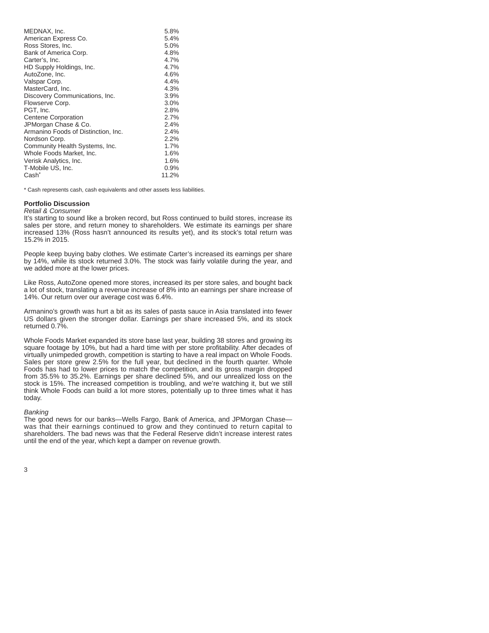| MEDNAX, Inc.                        | 5.8%  |
|-------------------------------------|-------|
| American Express Co.                | 5.4%  |
| Ross Stores, Inc.                   | 5.0%  |
| Bank of America Corp.               | 4.8%  |
| Carter's, Inc.                      | 4.7%  |
| HD Supply Holdings, Inc.            | 4.7%  |
| AutoZone, Inc.                      | 4.6%  |
| Valspar Corp.                       | 4.4%  |
| MasterCard, Inc.                    | 4.3%  |
| Discovery Communications, Inc.      | 3.9%  |
| Flowserve Corp.                     | 3.0%  |
| PGT, Inc.                           | 2.8%  |
| <b>Centene Corporation</b>          | 2.7%  |
| JPMorgan Chase & Co.                | 2.4%  |
| Armanino Foods of Distinction, Inc. | 2.4%  |
| Nordson Corp.                       | 2.2%  |
| Community Health Systems, Inc.      | 1.7%  |
| Whole Foods Market, Inc.            | 1.6%  |
| Verisk Analytics, Inc.              | 1.6%  |
| T-Mobile US, Inc.                   | 0.9%  |
| Cash <sup>*</sup>                   | 11.2% |

\* Cash represents cash, cash equivalents and other assets less liabilities.

# **Portfolio Discussion**

# *Retail & Consumer*

It's starting to sound like a broken record, but Ross continued to build stores, increase its sales per store, and return money to shareholders. We estimate its earnings per share increased 13% (Ross hasn't announced its results yet), and its stock's total return was 15.2% in 2015.

People keep buying baby clothes. We estimate Carter's increased its earnings per share by 14%, while its stock returned 3.0%. The stock was fairly volatile during the year, and we added more at the lower prices.

Like Ross, AutoZone opened more stores, increased its per store sales, and bought back a lot of stock, translating a revenue increase of 8% into an earnings per share increase of 14%. Our return over our average cost was 6.4%.

Armanino's growth was hurt a bit as its sales of pasta sauce in Asia translated into fewer US dollars given the stronger dollar. Earnings per share increased 5%, and its stock returned 0.7%.

Whole Foods Market expanded its store base last year, building 38 stores and growing its square footage by 10%, but had a hard time with per store profitability. After decades of virtually unimpeded growth, competition is starting to have a real impact on Whole Foods. Sales per store grew 2.5% for the full year, but declined in the fourth quarter. Whole Foods has had to lower prices to match the competition, and its gross margin dropped from 35.5% to 35.2%. Earnings per share declined 5%, and our unrealized loss on the stock is 15%. The increased competition is troubling, and we're watching it, but we still think Whole Foods can build a lot more stores, potentially up to three times what it has today.

# *Banking*

The good news for our banks—Wells Fargo, Bank of America, and JPMorgan Chase was that their earnings continued to grow and they continued to return capital to shareholders. The bad news was that the Federal Reserve didn't increase interest rates until the end of the year, which kept a damper on revenue growth.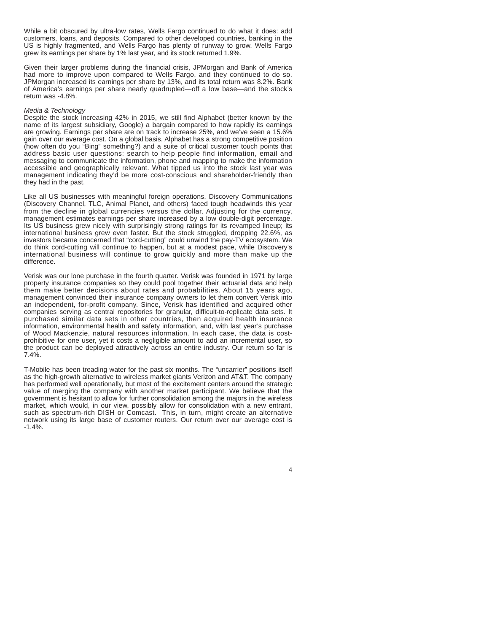While a bit obscured by ultra-low rates, Wells Fargo continued to do what it does: add customers, loans, and deposits. Compared to other developed countries, banking in the US is highly fragmented, and Wells Fargo has plenty of runway to grow. Wells Fargo grew its earnings per share by 1% last year, and its stock returned 1.9%.

Given their larger problems during the financial crisis, JPMorgan and Bank of America had more to improve upon compared to Wells Fargo, and they continued to do so. JPMorgan increased its earnings per share by 13%, and its total return was 8.2%. Bank of America's earnings per share nearly quadrupled—off a low base—and the stock's return was -4.8%.

# *Media & Technology*

Despite the stock increasing 42% in 2015, we still find Alphabet (better known by the name of its largest subsidiary, Google) a bargain compared to how rapidly its earnings are growing. Earnings per share are on track to increase 25%, and we've seen a 15.6% gain over our average cost. On a global basis, Alphabet has a strong competitive position (how often do you "Bing" something?) and a suite of critical customer touch points that address basic user questions: search to help people find information, email and messaging to communicate the information, phone and mapping to make the information accessible and geographically relevant. What tipped us into the stock last year was management indicating they'd be more cost-conscious and shareholder-friendly than they had in the past.

Like all US businesses with meaningful foreign operations, Discovery Communications (Discovery Channel, TLC, Animal Planet, and others) faced tough headwinds this year from the decline in global currencies versus the dollar. Adjusting for the currency, management estimates earnings per share increased by a low double-digit percentage. Its US business grew nicely with surprisingly strong ratings for its revamped lineup; its international business grew even faster. But the stock struggled, dropping 22.6%, as investors became concerned that "cord-cutting" could unwind the pay-TV ecosystem. We do think cord-cutting will continue to happen, but at a modest pace, while Discovery's international business will continue to grow quickly and more than make up the difference.

Verisk was our lone purchase in the fourth quarter. Verisk was founded in 1971 by large property insurance companies so they could pool together their actuarial data and help them make better decisions about rates and probabilities. About 15 years ago, management convinced their insurance company owners to let them convert Verisk into an independent, for-profit company. Since, Verisk has identified and acquired other companies serving as central repositories for granular, difficult-to-replicate data sets. It purchased similar data sets in other countries, then acquired health insurance information, environmental health and safety information, and, with last year's purchase of Wood Mackenzie, natural resources information. In each case, the data is costprohibitive for one user, yet it costs a negligible amount to add an incremental user, so the product can be deployed attractively across an entire industry. Our return so far is 7.4%.

T-Mobile has been treading water for the past six months. The "uncarrier" positions itself as the high-growth alternative to wireless market giants Verizon and AT&T. The company has performed well operationally, but most of the excitement centers around the strategic value of merging the company with another market participant. We believe that the government is hesitant to allow for further consolidation among the majors in the wireless market, which would, in our view, possibly allow for consolidation with a new entrant, such as spectrum-rich DISH or Comcast. This, in turn, might create an alternative network using its large base of customer routers. Our return over our average cost is -1.4%.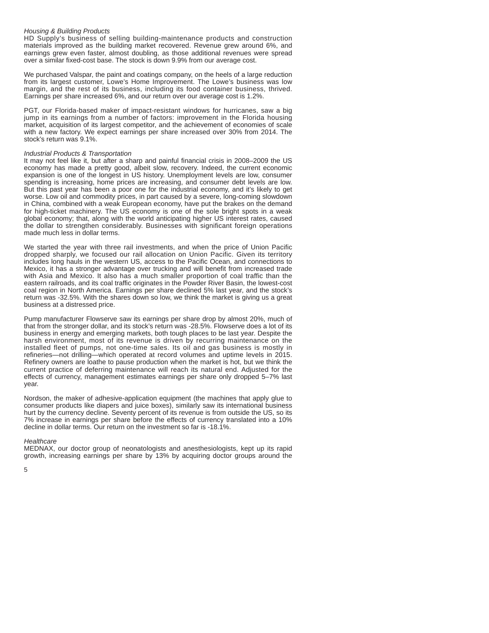# *Housing & Building Products*

HD Supply's business of selling building-maintenance products and construction materials improved as the building market recovered. Revenue grew around 6%, and earnings grew even faster, almost doubling, as those additional revenues were spread over a similar fixed-cost base. The stock is down 9.9% from our average cost.

We purchased Valspar, the paint and coatings company, on the heels of a large reduction from its largest customer, Lowe's Home Improvement. The Lowe's business was low margin, and the rest of its business, including its food container business, thrived. Earnings per share increased 6%, and our return over our average cost is 1.2%.

PGT, our Florida-based maker of impact-resistant windows for hurricanes, saw a big jump in its earnings from a number of factors: improvement in the Florida housing market, acquisition of its largest competitor, and the achievement of economies of scale with a new factory. We expect earnings per share increased over 30% from 2014. The stock's return was 9.1%.

#### *Industrial Products & Transportation*

It may not feel like it, but after a sharp and painful financial crisis in 2008–2009 the US economy has made a pretty good, albeit slow, recovery. Indeed, the current economic expansion is one of the longest in US history. Unemployment levels are low, consumer spending is increasing, home prices are increasing, and consumer debt levels are low. But this past year has been a poor one for the industrial economy, and it's likely to get worse. Low oil and commodity prices, in part caused by a severe, long-coming slowdown in China, combined with a weak European economy, have put the brakes on the demand for high-ticket machinery. The US economy is one of the sole bright spots in a weak global economy; that, along with the world anticipating higher US interest rates, caused the dollar to strengthen considerably. Businesses with significant foreign operations made much less in dollar terms.

We started the year with three rail investments, and when the price of Union Pacific dropped sharply, we focused our rail allocation on Union Pacific. Given its territory includes long hauls in the western US, access to the Pacific Ocean, and connections to Mexico, it has a stronger advantage over trucking and will benefit from increased trade with Asia and Mexico. It also has a much smaller proportion of coal traffic than the eastern railroads, and its coal traffic originates in the Powder River Basin, the lowest-cost coal region in North America. Earnings per share declined 5% last year, and the stock's return was -32.5%. With the shares down so low, we think the market is giving us a great business at a distressed price.

Pump manufacturer Flowserve saw its earnings per share drop by almost 20%, much of that from the stronger dollar, and its stock's return was -28.5%. Flowserve does a lot of its business in energy and emerging markets, both tough places to be last year. Despite the harsh environment, most of its revenue is driven by recurring maintenance on the installed fleet of pumps, not one-time sales. Its oil and gas business is mostly in refineries—not drilling—which operated at record volumes and uptime levels in 2015. Refinery owners are loathe to pause production when the market is hot, but we think the current practice of deferring maintenance will reach its natural end. Adjusted for the effects of currency, management estimates earnings per share only dropped 5–7% last year.

Nordson, the maker of adhesive-application equipment (the machines that apply glue to consumer products like diapers and juice boxes), similarly saw its international business hurt by the currency decline. Seventy percent of its revenue is from outside the US, so its 7% increase in earnings per share before the effects of currency translated into a 10% decline in dollar terms. Our return on the investment so far is -18.1%.

#### *Healthcare*

MEDNAX, our doctor group of neonatologists and anesthesiologists, kept up its rapid growth, increasing earnings per share by 13% by acquiring doctor groups around the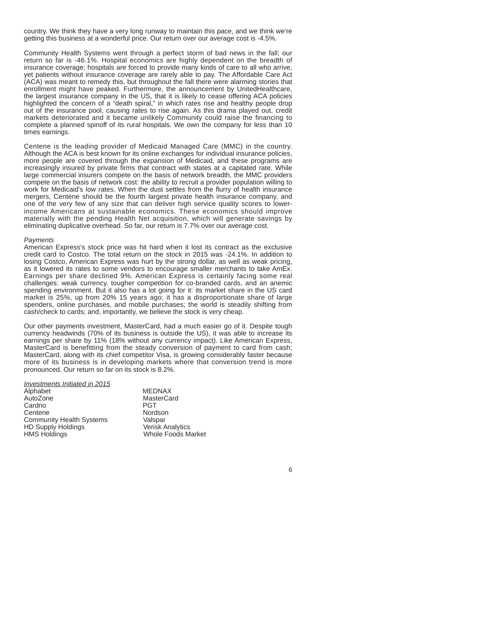country. We think they have a very long runway to maintain this pace, and we think we're getting this business at a wonderful price. Our return over our average cost is -4.5%.

Community Health Systems went through a perfect storm of bad news in the fall; our return so far is -46.1%. Hospital economics are highly dependent on the breadth of insurance coverage; hospitals are forced to provide many kinds of care to all who arrive, yet patients without insurance coverage are rarely able to pay. The Affordable Care Act (ACA) was meant to remedy this, but throughout the fall there were alarming stories that enrollment might have peaked. Furthermore, the announcement by UnitedHealthcare, the largest insurance company in the US, that it is likely to cease offering ACA policies highlighted the concern of a "death spiral," in which rates rise and healthy people drop out of the insurance pool, causing rates to rise again. As this drama played out, credit markets deteriorated and it became unlikely Community could raise the financing to complete a planned spinoff of its rural hospitals. We own the company for less than 10 times earnings.

Centene is the leading provider of Medicaid Managed Care (MMC) in the country. Although the ACA is best known for its online exchanges for individual insurance policies, more people are covered through the expansion of Medicaid, and these programs are increasingly insured by private firms that contract with states at a capitated rate. While large commercial insurers compete on the basis of network breadth, the MMC providers compete on the basis of network cost: the ability to recruit a provider population willing to work for Medicaid's low rates. When the dust settles from the flurry of health insurance mergers, Centene should be the fourth largest private health insurance company, and one of the very few of any size that can deliver high service quality scores to lowerincome Americans at sustainable economics. These economics should improve materially with the pending Health Net acquisition, which will generate savings by eliminating duplicative overhead. So far, our return is 7.7% over our average cost.

#### *Payments*

American Express's stock price was hit hard when it lost its contract as the exclusive credit card to Costco. The total return on the stock in 2015 was -24.1%. In addition to losing Costco, American Express was hurt by the strong dollar, as well as weak pricing, as it lowered its rates to some vendors to encourage smaller merchants to take AmEx. Earnings per share declined 9%. American Express is certainly facing some real challenges: weak currency, tougher competition for co-branded cards, and an anemic spending environment. But it also has a lot going for it: its market share in the US card market is 25%, up from 20% 15 years ago; it has a disproportionate share of large spenders, online purchases, and mobile purchases; the world is steadily shifting from cash/check to cards; and, importantly, we believe the stock is very cheap.

Our other payments investment, MasterCard, had a much easier go of it. Despite tough currency headwinds (70% of its business is outside the US), it was able to increase its earnings per share by 11% (18% without any currency impact). Like American Express, MasterCard is benefitting from the steady conversion of payment to card from cash; MasterCard, along with its chief competitor Visa, is growing considerably faster because more of its business is in developing markets where that conversion trend is more pronounced. Our return so far on its stock is 8.2%.

#### *Investments Initiated in 2015*

Alphabet MEDNAX Cardno Centene Nordson<br>Community Health Systems Valspar Community Health Systems<br>
HD Supply Holdings<br>
Verisk Analytics HD Supply Holdings

MasterCard<br>PGT **Whole Foods Market**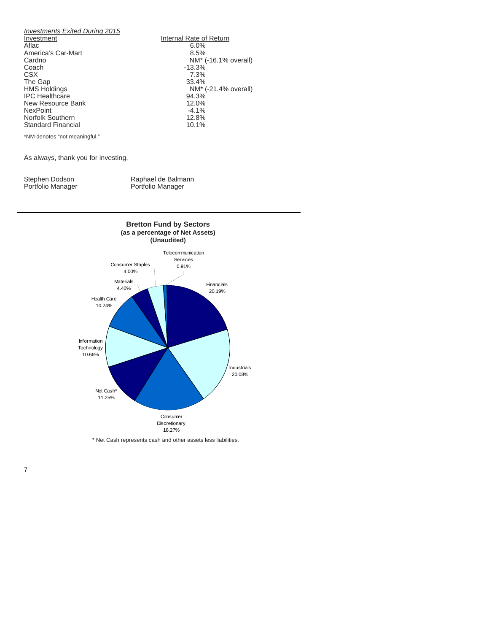*Investments Exited During 2015* Investment Internal Rate of Return<br>Aflac 6.0% Aflac 6.0% America's Car-Mart 8.5% (2014)<br>Cardno  $\sf{Coach}$   $\sf -13.3\%$  $\text{CSX}$  7.3% The Gap 33.4% and 33.4% and 33.4% and 33.4% and 33.4% and 33.4% and 33.4% and 33.4% and 33.4% and 33.4% and 33<br>The HMS Holdings and 30.7 and 30.7 and 30.7 and 30.7 and 30.7 and 30.7 and 30.7 and 30.7 and 30.7 and 30.7 and IPC Healthcare 194.3%<br>New Resource Bank 12.0% New Resource Bank 12.0%<br>NexPoint 13.0% 12.0% NexPoint -4.1%<br>
Norfolk Southern 12.8% Norfolk Southern 12.8%<br>Standard Financial 10.1% 10.1% **Standard Financial** 

Cardno MM\* (-16.1% overall)<br>Coach 13.3% NM\* (-21.4% overall)<br>94.3%

\*NM denotes "not meaningful."

As always, thank you for investing.

Stephen Dodson **Raphael de Balmann**<br>Portfolio Manager **Raphael de Balmann** Portfolio Manager



\* Net Cash represents cash and other assets less liabilities.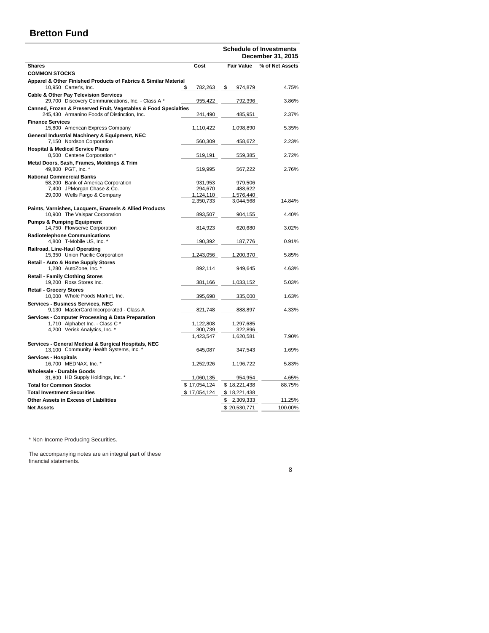# **Bretton Fund**

|                                                                                                                                      |                                 | <b>Schedule of Investments</b><br>December 31, 2015 |                 |  |  |
|--------------------------------------------------------------------------------------------------------------------------------------|---------------------------------|-----------------------------------------------------|-----------------|--|--|
| <b>Shares</b>                                                                                                                        | Cost                            | <b>Fair Value</b>                                   | % of Net Assets |  |  |
| <b>COMMON STOCKS</b>                                                                                                                 |                                 |                                                     |                 |  |  |
| Apparel & Other Finished Products of Fabrics & Similar Material<br>10,950 Carter's, Inc.                                             | \$<br>782,263 \$                | 974,879                                             | 4.75%           |  |  |
| <b>Cable &amp; Other Pay Television Services</b><br>29,700 Discovery Communications, Inc. - Class A *                                | 955,422                         | 792,396                                             | 3.86%           |  |  |
| Canned, Frozen & Preserved Fruit, Vegetables & Food Specialties<br>245,430 Armanino Foods of Distinction, Inc.                       | 241,490                         | 485,951                                             | 2.37%           |  |  |
| <b>Finance Services</b><br>15,800 American Express Company                                                                           |                                 | 1,110,422 1,098,890                                 | 5.35%           |  |  |
| General Industrial Machinery & Equipment, NEC<br>7,150 Nordson Corporation                                                           | 560,309                         | 458,672                                             | 2.23%           |  |  |
| <b>Hospital &amp; Medical Service Plans</b><br>8,500 Centene Corporation *                                                           | 519,191                         | 559,385                                             | 2.72%           |  |  |
| Metal Doors, Sash, Frames, Moldings & Trim<br>49,800 PGT, Inc. *                                                                     | 519,995                         | 567,222                                             | 2.76%           |  |  |
| <b>National Commercial Banks</b><br>58,200 Bank of America Corporation<br>7,400 JPMorgan Chase & Co.<br>29,000 Wells Fargo & Company | 931,953<br>294,670<br>1,124,110 | 979,506<br>488,622<br>1,576,440                     | 14.84%          |  |  |
|                                                                                                                                      | 2,350,733                       | 3,044,568                                           |                 |  |  |
| Paints, Varnishes, Lacquers, Enamels & Allied Products<br>10,900 The Valspar Corporation                                             | 893,507                         | 904,155                                             | 4.40%           |  |  |
| <b>Pumps &amp; Pumping Equipment</b><br>14,750 Flowserve Corporation                                                                 | 814,923                         | 620,680                                             | 3.02%           |  |  |
| <b>Radiotelephone Communications</b><br>4,800 T-Mobile US, Inc. *                                                                    | 190,392                         | 187,776                                             | 0.91%           |  |  |
| Railroad, Line-Haul Operating<br>15,350 Union Pacific Corporation                                                                    |                                 | 1,243,056 1,200,370                                 | 5.85%           |  |  |
| Retail - Auto & Home Supply Stores<br>1,280 AutoZone, Inc. *                                                                         | 892,114                         | 949,645                                             | 4.63%           |  |  |
| <b>Retail - Family Clothing Stores</b><br>19,200 Ross Stores Inc.                                                                    | 381,166                         | 1,033,152                                           | 5.03%           |  |  |
| <b>Retail - Grocery Stores</b><br>10,000 Whole Foods Market, Inc.                                                                    | 395,698                         | 335,000                                             | 1.63%           |  |  |
| Services - Business Services, NEC<br>9.130 MasterCard Incorporated - Class A                                                         | 821,748                         | 888,897                                             | 4.33%           |  |  |
| Services - Computer Processing & Data Preparation<br>1,710 Alphabet Inc. - Class C *<br>4,200 Verisk Analytics, Inc. *               | 1,122,808<br>300,739            | 1,297,685<br>322,896                                |                 |  |  |
|                                                                                                                                      | 1,423,547                       | 1,620,581                                           | 7.90%           |  |  |
| Services - General Medical & Surgical Hospitals, NEC<br>13,100 Community Health Systems, Inc. *                                      | 645,087                         | 347,543                                             | 1.69%           |  |  |
| <b>Services - Hospitals</b><br>16.700 MEDNAX, Inc. *                                                                                 |                                 | 1,252,926 1,196,722                                 | 5.83%           |  |  |
| <b>Wholesale - Durable Goods</b><br>31,800 HD Supply Holdings, Inc. *                                                                | 1,060,135                       | 954,954                                             | 4.65%           |  |  |
| <b>Total for Common Stocks</b>                                                                                                       |                                 | \$17,054,124 \$18,221,438                           | 88.75%          |  |  |
| <b>Total Investment Securities</b>                                                                                                   |                                 | \$17,054,124 \$18,221,438                           |                 |  |  |
| Other Assets in Excess of Liabilities                                                                                                |                                 | \$2,309,333                                         | 11.25%          |  |  |
| <b>Net Assets</b>                                                                                                                    |                                 | \$20,530,771                                        | 100.00%         |  |  |

\* Non-Income Producing Securities.

The accompanying notes are an integral part of these financial statements.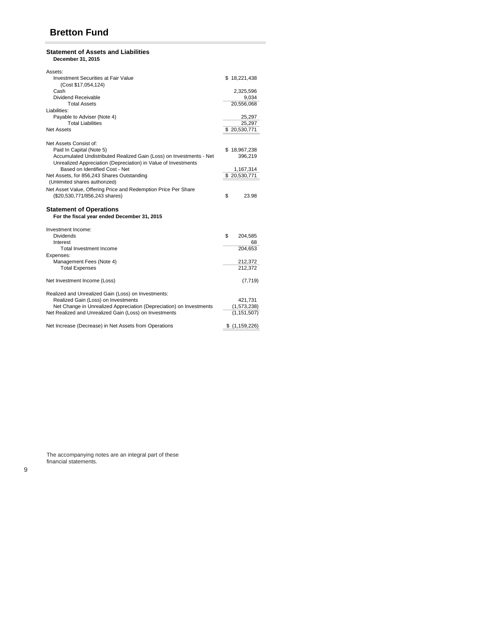# **Bretton Fund**

# **Statement of Assets and Liabilities**

 **December 31, 2015**

| Assets:                                                                                                                       |                    |
|-------------------------------------------------------------------------------------------------------------------------------|--------------------|
| <b>Investment Securities at Fair Value</b>                                                                                    | \$18,221,438       |
| (Cost \$17,054,124)                                                                                                           |                    |
| Cash                                                                                                                          | 2,325,596          |
| Dividend Receivable                                                                                                           | 9.034              |
| <b>Total Assets</b>                                                                                                           | 20,556,068         |
| Liabilities:                                                                                                                  |                    |
| Payable to Adviser (Note 4)                                                                                                   | 25,297             |
| <b>Total Liabilities</b>                                                                                                      | 25,297             |
| <b>Net Assets</b>                                                                                                             | \$20,530,771       |
|                                                                                                                               |                    |
| Net Assets Consist of:                                                                                                        |                    |
| Paid In Capital (Note 5)                                                                                                      | \$18,967,238       |
| Accumulated Undistributed Realized Gain (Loss) on Investments - Net                                                           | 396,219            |
| Unrealized Appreciation (Depreciation) in Value of Investments                                                                |                    |
| Based on Identified Cost - Net                                                                                                | 1,167,314          |
| Net Assets, for 856,243 Shares Outstanding                                                                                    | \$20,530,771       |
| (Unlimited shares authorized)                                                                                                 |                    |
| Net Asset Value, Offering Price and Redemption Price Per Share                                                                |                    |
|                                                                                                                               | \$                 |
| (\$20,530,771/856,243 shares)                                                                                                 | 23.98              |
|                                                                                                                               |                    |
| <b>Statement of Operations</b>                                                                                                |                    |
| For the fiscal year ended December 31, 2015                                                                                   |                    |
| Investment Income:                                                                                                            |                    |
| <b>Dividends</b>                                                                                                              | \$<br>204,585      |
| Interest                                                                                                                      |                    |
| <b>Total Investment Income</b>                                                                                                | 68                 |
|                                                                                                                               | 204,653            |
| Expenses:                                                                                                                     |                    |
| Management Fees (Note 4)                                                                                                      | 212,372<br>212,372 |
| <b>Total Expenses</b>                                                                                                         |                    |
|                                                                                                                               |                    |
| Net Investment Income (Loss)                                                                                                  | (7, 719)           |
|                                                                                                                               |                    |
| Realized and Unrealized Gain (Loss) on Investments:<br>Realized Gain (Loss) on Investments                                    |                    |
|                                                                                                                               | 421,731            |
| Net Change in Unrealized Appreciation (Depreciation) on Investments<br>Net Realized and Unrealized Gain (Loss) on Investments | (1,573,238)        |
|                                                                                                                               | (1, 151, 507)      |
| Net Increase (Decrease) in Net Assets from Operations                                                                         | \$(1,159,226)      |
|                                                                                                                               |                    |

The accompanying notes are an integral part of these financial statements.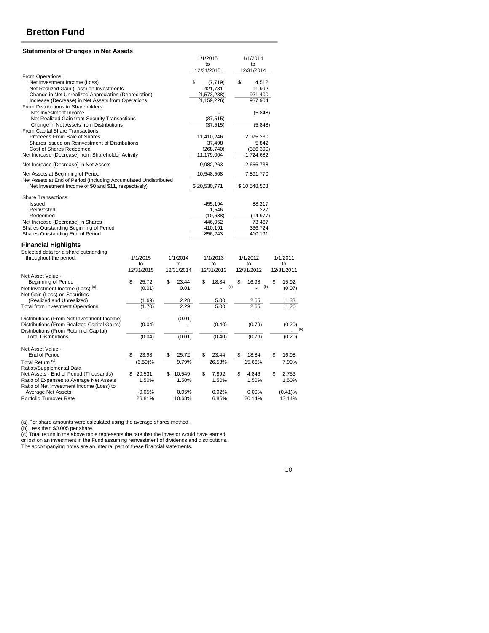### **Statements of Changes in Net Assets**

|                                                                                                 |                       |                       | 1/1/2015<br>to            | 1/1/2014<br>to       |                |
|-------------------------------------------------------------------------------------------------|-----------------------|-----------------------|---------------------------|----------------------|----------------|
|                                                                                                 |                       |                       | 12/31/2015                | 12/31/2014           |                |
| From Operations:<br>Net Investment Income (Loss)                                                |                       |                       | \$<br>(7, 719)<br>421,731 | \$<br>4,512          |                |
| Net Realized Gain (Loss) on Investments<br>Change in Net Unrealized Appreciation (Depreciation) |                       |                       | (1,573,238)               | 11,992<br>921,400    |                |
| Increase (Decrease) in Net Assets from Operations                                               |                       |                       | (1, 159, 226)             | 937,904              |                |
| From Distributions to Shareholders:<br>Net Investment Income                                    |                       |                       |                           | (5,848)              |                |
| Net Realized Gain from Security Transactions                                                    |                       |                       | (37, 515)                 |                      |                |
| Change in Net Assets from Distributions                                                         |                       |                       | (37, 515)                 | (5,848)              |                |
| From Capital Share Transactions:                                                                |                       |                       |                           |                      |                |
| Proceeds From Sale of Shares<br>Shares Issued on Reinvestment of Distributions                  |                       |                       | 11,410,246                | 2,075,230<br>5,842   |                |
| Cost of Shares Redeemed                                                                         |                       |                       | 37,498<br>(268, 740)      | (356, 390)           |                |
| Net Increase (Decrease) from Shareholder Activity                                               |                       |                       | 11,179,004                | 1,724,682            |                |
| Net Increase (Decrease) in Net Assets                                                           |                       |                       | 9,982,263                 | 2,656,738            |                |
| Net Assets at Beginning of Period                                                               |                       |                       | 10,548,508                | 7,891,770            |                |
| Net Assets at End of Period (Including Accumulated Undistributed                                |                       |                       |                           |                      |                |
| Net Investment Income of \$0 and \$11, respectively)                                            |                       |                       | \$20,530,771              | \$10,548,508         |                |
| <b>Share Transactions:</b>                                                                      |                       |                       |                           |                      |                |
| Issued                                                                                          |                       |                       | 455.194                   | 88,217               |                |
| Reinvested                                                                                      |                       |                       | 1,546                     | 227                  |                |
| Redeemed                                                                                        |                       |                       | (10,688)                  | (14, 977)            |                |
| Net Increase (Decrease) in Shares                                                               |                       |                       | 446,052                   | 73,467               |                |
| Shares Outstanding Beginning of Period                                                          |                       |                       | 410,191                   | 336,724              |                |
| Shares Outstanding End of Period                                                                |                       |                       | 856,243                   | 410,191              |                |
| <b>Financial Highlights</b>                                                                     |                       |                       |                           |                      |                |
| Selected data for a share outstanding                                                           |                       |                       |                           |                      |                |
| throughout the period:                                                                          | 1/1/2015              | 1/1/2014              | 1/1/2013                  | 1/1/2012             | 1/1/2011       |
|                                                                                                 | to                    | to                    | to                        | to                   | to             |
|                                                                                                 | 12/31/2015            | 12/31/2014            | 12/31/2013                | 12/31/2012           | 12/31/2011     |
| Net Asset Value -<br><b>Beginning of Period</b>                                                 | \$<br>25.72           | \$<br>23.44           | \$<br>18.84               | \$<br>16.98          | \$<br>15.92    |
| Net Investment Income (Loss) <sup>(a)</sup>                                                     | (0.01)                | 0.01                  | (b)                       | (b)                  | (0.07)         |
| Net Gain (Loss) on Securities                                                                   |                       |                       |                           |                      |                |
| (Realized and Unrealized)                                                                       | (1.69)                | 2.28                  | 5.00                      | 2.65                 | 1.33           |
| <b>Total from Investment Operations</b>                                                         | (1.70)                | 2.29                  | 5.00                      | 2.65                 | 1.26           |
|                                                                                                 |                       |                       |                           |                      |                |
| Distributions (From Net Investment Income)                                                      |                       | (0.01)                | ä,                        |                      |                |
| Distributions (From Realized Capital Gains)<br>Distributions (From Return of Capital)           | (0.04)                |                       | (0.40)                    | (0.79)               | (0.20)<br>(b)  |
| <b>Total Distributions</b>                                                                      | (0.04)                | (0.01)                | (0.40)                    | (0.79)               | (0.20)         |
|                                                                                                 |                       |                       |                           |                      |                |
| Net Asset Value -                                                                               |                       |                       |                           |                      |                |
| <b>End of Period</b>                                                                            | 23.98<br>\$           | \$<br>25.72           | \$<br>23.44               | \$<br>18.84          | \$<br>16.98    |
| Total Return <sup>(c)</sup>                                                                     | (6.59)%               | 9.79%                 | 26.53%                    | 15.66%               | 7.90%          |
| Ratios/Supplemental Data                                                                        |                       |                       | \$                        |                      | \$             |
| Net Assets - End of Period (Thousands)<br>Ratio of Expenses to Average Net Assets               | 20,531<br>\$<br>1.50% | 10,549<br>\$<br>1.50% | 7,892<br>1.50%            | \$<br>4,846<br>1.50% | 2,753<br>1.50% |
| Ratio of Net Investment Income (Loss) to                                                        |                       |                       |                           |                      |                |
| <b>Average Net Assets</b>                                                                       | $-0.05%$              | 0.05%                 | 0.02%                     | 0.00%                | $(0.41)\%$     |
| Portfolio Turnover Rate                                                                         | 26.81%                | 10.68%                | 6.85%                     | 20.14%               | 13.14%         |
|                                                                                                 |                       |                       |                           |                      |                |

(a) Per share amounts were calculated using the average shares method.

(b) Less than \$0.005 per share.

(c) Total return in the above table represents the rate that the investor would have earned or lost on an investment in the Fund assuming reinvestment of dividends and distributions.

The accompanying notes are an integral part of these financial statements.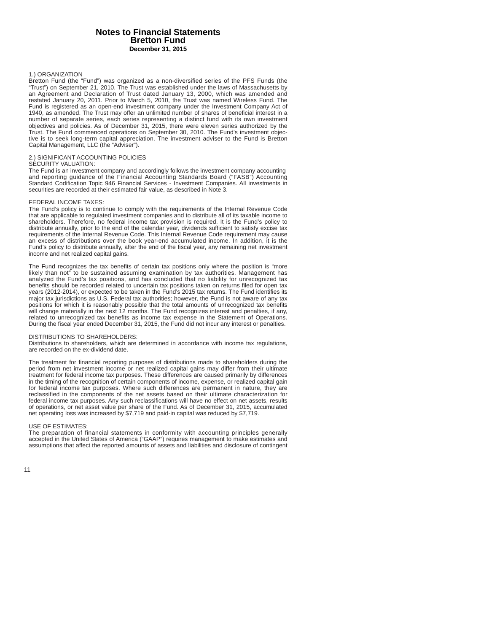# **Notes to Financial Statements Bretton Fund December 31, 2015**

#### 1.) ORGANIZATION

Bretton Fund (the "Fund") was organized as a non-diversified series of the PFS Funds (the "Trust") on September 21, 2010. The Trust was established under the laws of Massachusetts by an Agreement and Declaration of Trust dated January 13, 2000, which was amended and restated January 20, 2011. Prior to March 5, 2010, the Trust was named Wireless Fund. The Fund is registered as an open-end investment company under the Investment Company Act of 1940, as amended. The Trust may offer an unlimited number of shares of beneficial interest in a number of separate series, each series representing a distinct fund with its own investment objectives and policies. As of December 31, 2015, there were eleven series authorized by the Trust. The Fund commenced operations on September 30, 2010. The Fund's investment objective is to seek long-term capital appreciation. The investment adviser to the Fund is Bretton Capital Management, LLC (the "Adviser").

#### 2.) SIGNIFICANT ACCOUNTING POLICIES

SECURITY VALUATION:

The Fund is an investment company and accordingly follows the investment company accounting and reporting guidance of the Financial Accounting Standards Board ("FASB") Accounting Standard Codification Topic 946 Financial Services - Investment Companies. All investments in securities are recorded at their estimated fair value, as described in Note 3.

#### FEDERAL INCOME TAXES:

The Fund's policy is to continue to comply with the requirements of the Internal Revenue Code that are applicable to regulated investment companies and to distribute all of its taxable income to shareholders. Therefore, no federal income tax provision is required. It is the Fund's policy to distribute annually, prior to the end of the calendar year, dividends sufficient to satisfy excise tax requirements of the Internal Revenue Code. This Internal Revenue Code requirement may cause an excess of distributions over the book year-end accumulated income. In addition, it is the Fund's policy to distribute annually, after the end of the fiscal year, any remaining net investment income and net realized capital gains.

The Fund recognizes the tax benefits of certain tax positions only where the position is "more likely than not" to be sustained assuming examination by tax authorities. Management has analyzed the Fund's tax positions, and has concluded that no liability for unrecognized tax benefits should be recorded related to uncertain tax positions taken on returns filed for open tax years (2012-2014), or expected to be taken in the Fund's 2015 tax returns. The Fund identifies its major tax jurisdictions as U.S. Federal tax authorities; however, the Fund is not aware of any tax positions for which it is reasonably possible that the total amounts of unrecognized tax benefits will change materially in the next 12 months. The Fund recognizes interest and penalties, if any, related to unrecognized tax benefits as income tax expense in the Statement of Operations. During the fiscal year ended December 31, 2015, the Fund did not incur any interest or penalties.

#### DISTRIBUTIONS TO SHAREHOLDERS:

Distributions to shareholders, which are determined in accordance with income tax regulations, are recorded on the ex-dividend date.

The treatment for financial reporting purposes of distributions made to shareholders during the period from net investment income or net realized capital gains may differ from their ultimate treatment for federal income tax purposes. These differences are caused primarily by differences in the timing of the recognition of certain components of income, expense, or realized capital gain for federal income tax purposes. Where such differences are permanent in nature, they are reclassified in the components of the net assets based on their ultimate characterization for federal income tax purposes. Any such reclassifications will have no effect on net assets, results of operations, or net asset value per share of the Fund. As of December 31, 2015, accumulated net operating loss was increased by \$7,719 and paid-in capital was reduced by \$7,719.

#### USE OF ESTIMATES:

The preparation of financial statements in conformity with accounting principles generally accepted in the United States of America ("GAAP") requires management to make estimates and assumptions that affect the reported amounts of assets and liabilities and disclosure of contingent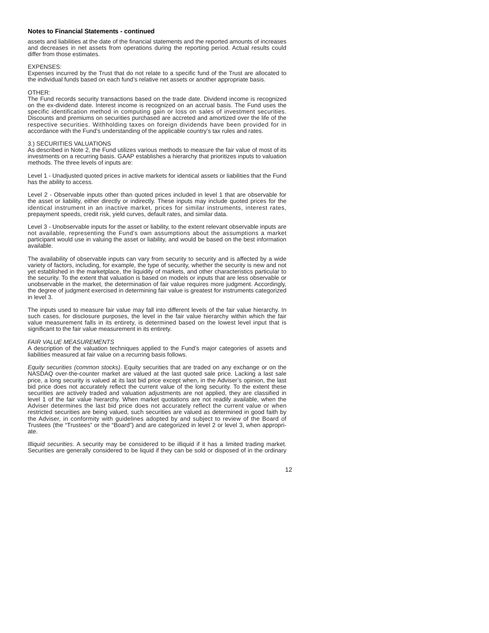#### **Notes to Financial Statements - continued**

assets and liabilities at the date of the financial statements and the reported amounts of increases and decreases in net assets from operations during the reporting period. Actual results could differ from those estimates.

#### EXPENSES:

Expenses incurred by the Trust that do not relate to a specific fund of the Trust are allocated to the individual funds based on each fund's relative net assets or another appropriate basis.

#### OTHER:

The Fund records security transactions based on the trade date. Dividend income is recognized on the ex-dividend date. Interest income is recognized on an accrual basis. The Fund uses the specific identification method in computing gain or loss on sales of investment securities. Discounts and premiums on securities purchased are accreted and amortized over the life of the respective securities. Withholding taxes on foreign dividends have been provided for in accordance with the Fund's understanding of the applicable country's tax rules and rates.

#### 3.) SECURITIES VALUATIONS

As described in Note 2, the Fund utilizes various methods to measure the fair value of most of its investments on a recurring basis. GAAP establishes a hierarchy that prioritizes inputs to valuation methods. The three levels of inputs are:

Level 1 - Unadjusted quoted prices in active markets for identical assets or liabilities that the Fund has the ability to access.

Level 2 - Observable inputs other than quoted prices included in level 1 that are observable for the asset or liability, either directly or indirectly. These inputs may include quoted prices for the identical instrument in an inactive market, prices for similar instruments, interest rates, prepayment speeds, credit risk, yield curves, default rates, and similar data.

Level 3 - Unobservable inputs for the asset or liability, to the extent relevant observable inputs are not available, representing the Fund's own assumptions about the assumptions a market participant would use in valuing the asset or liability, and would be based on the best information available.

The availability of observable inputs can vary from security to security and is affected by a wide variety of factors, including, for example, the type of security, whether the security is new and not yet established in the marketplace, the liquidity of markets, and other characteristics particular to the security. To the extent that valuation is based on models or inputs that are less observable or unobservable in the market, the determination of fair value requires more judgment. Accordingly, the degree of judgment exercised in determining fair value is greatest for instruments categorized in level 3.

The inputs used to measure fair value may fall into different levels of the fair value hierarchy. In such cases, for disclosure purposes, the level in the fair value hierarchy within which the fair value measurement falls in its entirety, is determined based on the lowest level input that is significant to the fair value measurement in its entirety.

#### *FAIR VALUE MEASUREMENTS*

A description of the valuation techniques applied to the Fund's major categories of assets and liabilities measured at fair value on a recurring basis follows.

*Equity securities (common stocks)*. Equity securities that are traded on any exchange or on the NASDAQ over-the-counter market are valued at the last quoted sale price. Lacking a last sale price, a long security is valued at its last bid price except when, in the Adviser's opinion, the last bid price does not accurately reflect the current value of the long security. To the extent these securities are actively traded and valuation adjustments are not applied, they are classified in level 1 of the fair value hierarchy. When market quotations are not readily available, when the Adviser determines the last bid price does not accurately reflect the current value or when restricted securities are being valued, such securities are valued as determined in good faith by the Adviser, in conformity with guidelines adopted by and subject to review of the Board of Trustees (the "Trustees" or the "Board") and are categorized in level 2 or level 3, when appropriate.

*Illiquid securities*. A security may be considered to be illiquid if it has a limited trading market. Securities are generally considered to be liquid if they can be sold or disposed of in the ordinary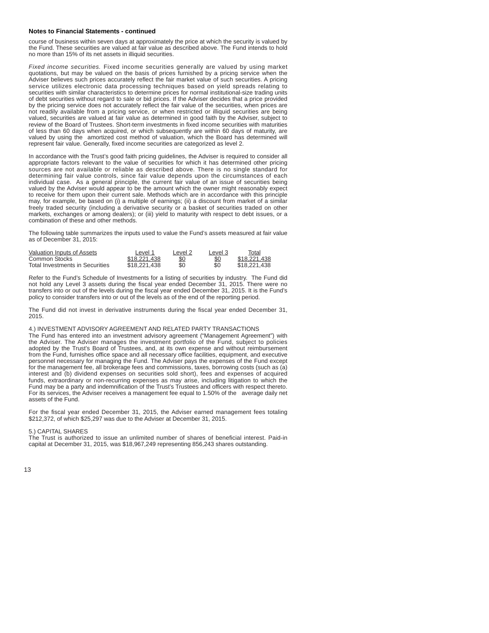#### **Notes to Financial Statements - continued**

course of business within seven days at approximately the price at which the security is valued by the Fund. These securities are valued at fair value as described above. The Fund intends to hold no more than 15% of its net assets in illiquid securities.

*Fixed income securities.* Fixed income securities generally are valued by using market quotations, but may be valued on the basis of prices furnished by a pricing service when the Adviser believes such prices accurately reflect the fair market value of such securities. A pricing service utilizes electronic data processing techniques based on yield spreads relating to securities with similar characteristics to determine prices for normal institutional-size trading units of debt securities without regard to sale or bid prices. If the Adviser decides that a price provided by the pricing service does not accurately reflect the fair value of the securities, when prices are not readily available from a pricing service, or when restricted or illiquid securities are being valued, securities are valued at fair value as determined in good faith by the Adviser, subject to review of the Board of Trustees. Short-term investments in fixed income securities with maturities of less than 60 days when acquired, or which subsequently are within 60 days of maturity, are valued by using the amortized cost method of valuation, which the Board has determined will represent fair value. Generally, fixed income securities are categorized as level 2.

In accordance with the Trust's good faith pricing guidelines, the Adviser is required to consider all appropriate factors relevant to the value of securities for which it has determined other pricing sources are not available or reliable as described above. There is no single standard for determining fair value controls, since fair value depends upon the circumstances of each individual case. As a general principle, the current fair value of an issue of securities being valued by the Adviser would appear to be the amount which the owner might reasonably expect to receive for them upon their current sale. Methods which are in accordance with this principle may, for example, be based on (i) a multiple of earnings; (ii) a discount from market of a similar freely traded security (including a derivative security or a basket of securities traded on other markets, exchanges or among dealers); or (iii) yield to maturity with respect to debt issues, or a combination of these and other methods.

The following table summarizes the inputs used to value the Fund's assets measured at fair value as of December 31, 2015:

| Valuation Inputs of Assets      | ∟evel 1      | Level <sub>2</sub> | Level 3 | Total        |
|---------------------------------|--------------|--------------------|---------|--------------|
| Common Stocks                   | \$18,221,438 | \$0                | \$0     | \$18,221,438 |
| Total Investments in Securities | \$18,221,438 | \$0                | \$0     | \$18,221,438 |

Refer to the Fund's Schedule of Investments for a listing of securities by industry. The Fund did not hold any Level 3 assets during the fiscal year ended December 31, 2015. There were no transfers into or out of the levels during the fiscal year ended December 31, 2015. It is the Fund's policy to consider transfers into or out of the levels as of the end of the reporting period.

The Fund did not invest in derivative instruments during the fiscal year ended December 31, 2015.

#### 4.) INVESTMENT ADVISORY AGREEMENT AND RELATED PARTY TRANSACTIONS

The Fund has entered into an investment advisory agreement ("Management Agreement") with the Adviser. The Adviser manages the investment portfolio of the Fund, subject to policies adopted by the Trust's Board of Trustees, and, at its own expense and without reimbursement from the Fund, furnishes office space and all necessary office facilities, equipment, and executive personnel necessary for managing the Fund. The Adviser pays the expenses of the Fund except for the management fee, all brokerage fees and commissions, taxes, borrowing costs (such as (a) interest and (b) dividend expenses on securities sold short), fees and expenses of acquired funds, extraordinary or non-recurring expenses as may arise, including litigation to which the Fund may be a party and indemnification of the Trust's Trustees and officers with respect thereto. For its services, the Adviser receives a management fee equal to 1.50% of the average daily net assets of the Fund.

For the fiscal year ended December 31, 2015, the Adviser earned management fees totaling \$212,372, of which \$25,297 was due to the Adviser at December 31, 2015.

#### 5.) CAPITAL SHARES

The Trust is authorized to issue an unlimited number of shares of beneficial interest. Paid-in capital at December 31, 2015, was \$18,967,249 representing 856,243 shares outstanding.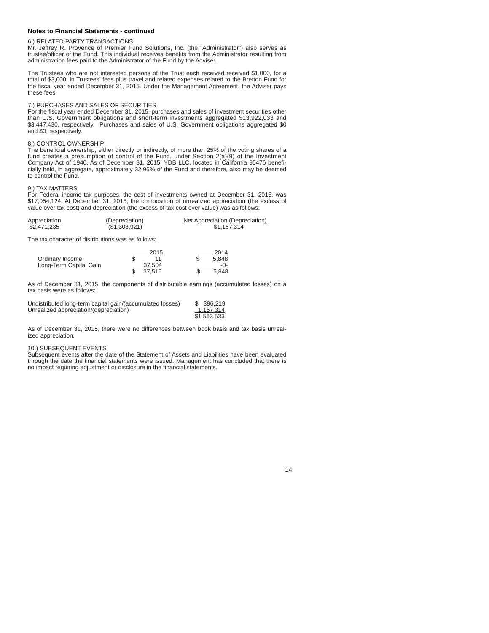#### **Notes to Financial Statements - continued**

#### 6.) RELATED PARTY TRANSACTIONS

Mr. Jeffrey R. Provence of Premier Fund Solutions, Inc. (the "Administrator") also serves as trustee/officer of the Fund. This individual receives benefits from the Administrator resulting from administration fees paid to the Administrator of the Fund by the Adviser.

The Trustees who are not interested persons of the Trust each received received \$1,000, for a total of \$3,000, in Trustees' fees plus travel and related expenses related to the Bretton Fund for the fiscal year ended December 31, 2015. Under the Management Agreement, the Adviser pays these fees.

#### 7.) PURCHASES AND SALES OF SECURITIES

For the fiscal year ended December 31, 2015, purchases and sales of investment securities other than U.S. Government obligations and short-term investments aggregated \$13,922,033 and \$3,447,430, respectively. Purchases and sales of U.S. Government obligations aggregated \$0 and \$0, respectively.

#### 8.) CONTROL OWNERSHIP

The beneficial ownership, either directly or indirectly, of more than 25% of the voting shares of a fund creates a presumption of control of the Fund, under Section 2(a)(9) of the Investment Company Act of 1940. As of December 31, 2015, YDB LLC, located in California 95476 beneficially held, in aggregate, approximately 32.95% of the Fund and therefore, also may be deemed to control the Fund.

#### 9.) TAX MATTERS

For Federal income tax purposes, the cost of investments owned at December 31, 2015, was \$17,054,124. At December 31, 2015, the composition of unrealized appreciation (the excess of value over tax cost) and depreciation (the excess of tax cost over value) was as follows:

| Appreciation | (Depreciation) | Net Appreciation (Depreciation) |
|--------------|----------------|---------------------------------|
| \$2,471,235  | (\$1,303,921)  | \$1,167,314                     |

The tax character of distributions was as follows:

|                        | 2015   | 2014  |
|------------------------|--------|-------|
| Ordinary Income        |        | 5.848 |
| Long-Term Capital Gain | 37.504 | -0-   |
|                        | 37.515 | 5.848 |

As of December 31, 2015, the components of distributable earnings (accumulated losses) on a tax basis were as follows:

| Undistributed long-term capital gain/(accumulated losses) | \$ 396,219  |
|-----------------------------------------------------------|-------------|
| Unrealized appreciation/(depreciation)                    | 1.167.314   |
|                                                           | \$1.563.533 |

As of December 31, 2015, there were no differences between book basis and tax basis unrealized appreciation.

#### 10.) SUBSEQUENT EVENTS

Subsequent events after the date of the Statement of Assets and Liabilities have been evaluated through the date the financial statements were issued. Management has concluded that there is no impact requiring adjustment or disclosure in the financial statements.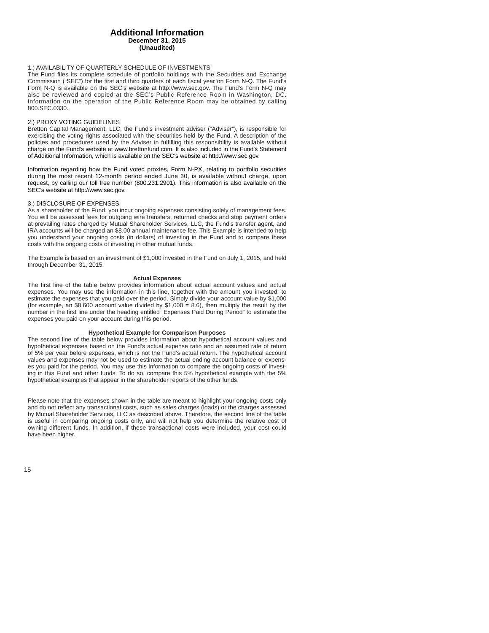# **Additional Information December 31, 2015 (Unaudited)**

# 1.) AVAILABILITY OF QUARTERLY SCHEDULE OF INVESTMENTS

The Fund files its complete schedule of portfolio holdings with the Securities and Exchange Commission ("SEC") for the first and third quarters of each fiscal year on Form N-Q. The Fund's Form N-Q is available on the SEC's website at http://www.sec.gov. The Fund's Form N-Q may also be reviewed and copied at the SEC's Public Reference Room in Washington, DC. Information on the operation of the Public Reference Room may be obtained by calling 800.SEC.0330.

#### 2.) PROXY VOTING GUIDELINES

Bretton Capital Management, LLC, the Fund's investment adviser ("Adviser"), is responsible for exercising the voting rights associated with the securities held by the Fund. A description of the policies and procedures used by the Adviser in fulfilling this responsibility is available without charge on the Fund's website at www.brettonfund.com. It is also included in the Fund's Statement of Additional Information, which is available on the SEC's website at http://www.sec.gov.

Information regarding how the Fund voted proxies, Form N-PX, relating to portfolio securities during the most recent 12-month period ended June 30, is available without charge, upon request, by calling our toll free number (800.231.2901). This information is also available on the SEC's website at http://www.sec.gov.

#### 3.) DISCLOSURE OF EXPENSES

As a shareholder of the Fund, you incur ongoing expenses consisting solely of management fees. You will be assessed fees for outgoing wire transfers, returned checks and stop payment orders at prevailing rates charged by Mutual Shareholder Services, LLC, the Fund's transfer agent, and IRA accounts will be charged an \$8.00 annual maintenance fee. This Example is intended to help you understand your ongoing costs (in dollars) of investing in the Fund and to compare these costs with the ongoing costs of investing in other mutual funds.

The Example is based on an investment of \$1,000 invested in the Fund on July 1, 2015, and held through December 31, 2015.

#### **Actual Expenses**

The first line of the table below provides information about actual account values and actual expenses. You may use the information in this line, together with the amount you invested, to estimate the expenses that you paid over the period. Simply divide your account value by \$1,000 (for example, an \$8,600 account value divided by  $$1,000 = 8.6$ ), then multiply the result by the number in the first line under the heading entitled "Expenses Paid During Period" to estimate the expenses you paid on your account during this period.

#### **Hypothetical Example for Comparison Purposes**

The second line of the table below provides information about hypothetical account values and hypothetical expenses based on the Fund's actual expense ratio and an assumed rate of return of 5% per year before expenses, which is not the Fund's actual return. The hypothetical account values and expenses may not be used to estimate the actual ending account balance or expenses you paid for the period. You may use this information to compare the ongoing costs of investing in this Fund and other funds. To do so, compare this 5% hypothetical example with the 5% hypothetical examples that appear in the shareholder reports of the other funds.

Please note that the expenses shown in the table are meant to highlight your ongoing costs only and do not reflect any transactional costs, such as sales charges (loads) or the charges assessed by Mutual Shareholder Services, LLC as described above. Therefore, the second line of the table is useful in comparing ongoing costs only, and will not help you determine the relative cost of owning different funds. In addition, if these transactional costs were included, your cost could have been higher.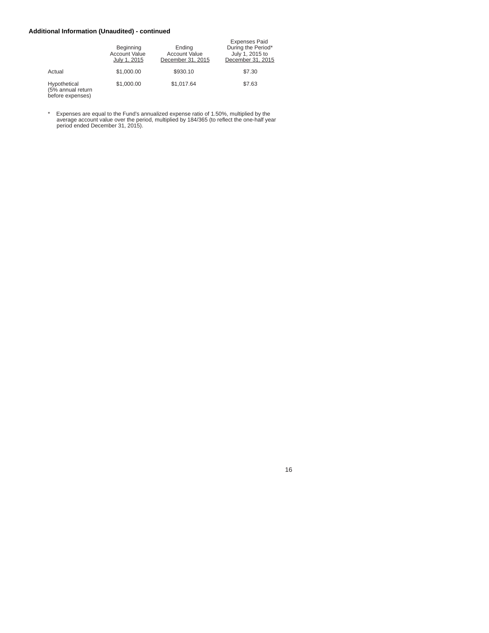# **Additional Information (Unaudited) - continued**

|                                                       | Beginning<br><b>Account Value</b><br>July 1, 2015 | Ending<br><b>Account Value</b><br>December 31, 2015 | <b>Expenses Paid</b><br>During the Period*<br>July 1, 2015 to<br>December 31, 2015 |
|-------------------------------------------------------|---------------------------------------------------|-----------------------------------------------------|------------------------------------------------------------------------------------|
| Actual                                                | \$1,000.00                                        | \$930.10                                            | \$7.30                                                                             |
| Hypothetical<br>(5% annual return<br>before expenses) | \$1,000.00                                        | \$1,017.64                                          | \$7.63                                                                             |

\* Expenses are equal to the Fund's annualized expense ratio of 1.50%, multiplied by the average account value over the period, multiplied by 184/365 (to reflect the one-half year period ended December 31, 2015).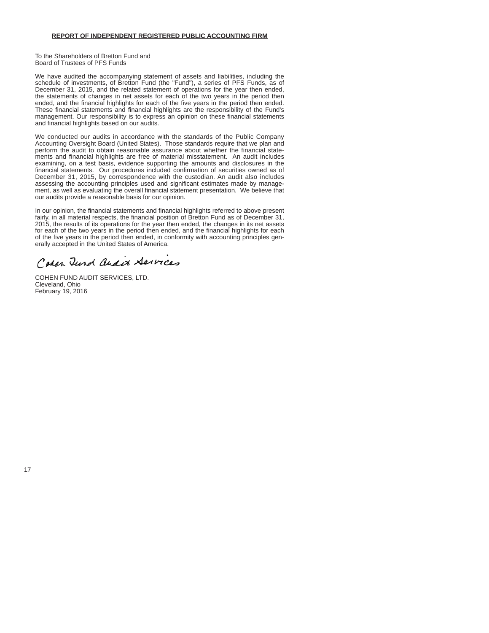# **REPORT OF INDEPENDENT REGISTERED PUBLIC ACCOUNTING FIRM**

To the Shareholders of Bretton Fund and Board of Trustees of PFS Funds

We have audited the accompanying statement of assets and liabilities, including the schedule of investments, of Bretton Fund (the "Fund"), a series of PFS Funds, as of December 31, 2015, and the related statement of operations for the year then ended, the statements of changes in net assets for each of the two years in the period then ended, and the financial highlights for each of the five years in the period then ended. These financial statements and financial highlights are the responsibility of the Fund's management. Our responsibility is to express an opinion on these financial statements and financial highlights based on our audits.

We conducted our audits in accordance with the standards of the Public Company Accounting Oversight Board (United States). Those standards require that we plan and perform the audit to obtain reasonable assurance about whether the financial statements and financial highlights are free of material misstatement. An audit includes examining, on a test basis, evidence supporting the amounts and disclosures in the financial statements. Our procedures included confirmation of securities owned as of December 31, 2015, by correspondence with the custodian. An audit also includes assessing the accounting principles used and significant estimates made by management, as well as evaluating the overall financial statement presentation. We believe that our audits provide a reasonable basis for our opinion.

In our opinion, the financial statements and financial highlights referred to above present fairly, in all material respects, the financial position of Bretton Fund as of December 31, 2015, the results of its operations for the year then ended, the changes in its net assets for each of the two years in the period then ended, and the financial highlights for each of the five years in the period then ended, in conformity with accounting principles generally accepted in the United States of America.

Cohen Tund and it Services

COHEN FUND AUDIT SERVICES, LTD. Cleveland, Ohio February 19, 2016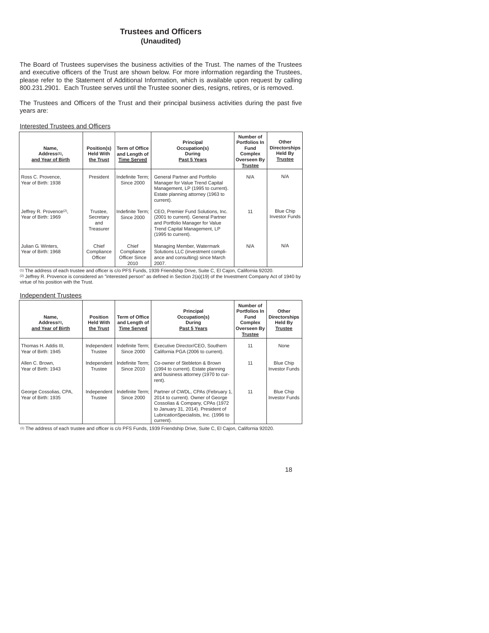# **Trustees and Officers (Unaudited)**

The Board of Trustees supervises the business activities of the Trust. The names of the Trustees and executive officers of the Trust are shown below. For more information regarding the Trustees, please refer to the Statement of Additional Information, which is available upon request by calling 800.231.2901. Each Trustee serves until the Trustee sooner dies, resigns, retires, or is removed.

The Trustees and Officers of the Trust and their principal business activities during the past five years are:

#### Interested Trustees and Officers

| Name,<br>Address <sup>(1)</sup> ,<br>and Year of Birth      | Position(s)<br><b>Held With</b><br>the Trust | <b>Term of Office</b><br>and Length of<br><b>Time Served</b> | Principal<br>Occupation(s)<br>During<br>Past 5 Years                                                                                                             | Number of<br>Portfolios In<br>Fund<br>Complex<br>Overseen By<br><b>Trustee</b> | Other<br><b>Directorships</b><br>Held By<br><b>Trustee</b> |
|-------------------------------------------------------------|----------------------------------------------|--------------------------------------------------------------|------------------------------------------------------------------------------------------------------------------------------------------------------------------|--------------------------------------------------------------------------------|------------------------------------------------------------|
| Ross C. Provence.<br>Year of Birth: 1938                    | President                                    | Indefinite Term:<br>Since 2000                               | General Partner and Portfolio<br>Manager for Value Trend Capital<br>Management, LP (1995 to current).<br>Estate planning attorney (1963 to<br>current).          | N/A                                                                            | N/A                                                        |
| Jeffrey R. Provence <sup>(2)</sup> ,<br>Year of Birth: 1969 | Trustee.<br>Secretary<br>and<br>Treasurer    | Indefinite Term:<br>Since 2000                               | CEO. Premier Fund Solutions. Inc.<br>(2001 to current). General Partner<br>and Portfolio Manager for Value<br>Trend Capital Management, LP<br>(1995 to current). | 11                                                                             | Blue Chip<br><b>Investor Funds</b>                         |
| Julian G. Winters.<br>Year of Birth: 1968                   | Chief<br>Compliance<br>Officer               | Chief<br>Compliance<br>Officer Since<br>2010                 | Managing Member, Watermark<br>Solutions LLC (investment compli-<br>ance and consulting) since March<br>2007.                                                     | N/A                                                                            | N/A                                                        |

(1) The address of each trustee and officer is c/o PFS Funds, 1939 Friendship Drive, Suite C, El Cajon, California 92020. (2) Jeffrey R. Provence is considered an "interested person" as defined in Section 2(a)(19) of the Investment Company Act of 1940 by virtue of his position with the Trust.

#### Independent Trustees

| Name.<br>Address <sup>(1)</sup> ,<br>and Year of Birth | <b>Position</b><br><b>Held With</b><br>the Trust | <b>Term of Office</b><br>and Length of<br><b>Time Served</b> | Principal<br>Occupation(s)<br>During<br>Past 5 Years                                                                                                                                                    | Number of<br>Portfolios In<br>Fund<br>Complex<br>Overseen By<br>Trustee | Other<br><b>Directorships</b><br>Held By<br><b>Trustee</b> |
|--------------------------------------------------------|--------------------------------------------------|--------------------------------------------------------------|---------------------------------------------------------------------------------------------------------------------------------------------------------------------------------------------------------|-------------------------------------------------------------------------|------------------------------------------------------------|
| Thomas H. Addis III.<br>Year of Birth: 1945            | Independent<br>Trustee                           | Indefinite Term: I<br>Since 2000                             | Executive Director/CEO, Southern<br>California PGA (2006 to current).                                                                                                                                   | 11                                                                      | None                                                       |
| Allen C. Brown.<br>Year of Birth: 1943                 | Independent<br>Trustee                           | Indefinite Term: I<br>Since 2010                             | Co-owner of Stebleton & Brown<br>(1994 to current). Estate planning<br>and business attorney (1970 to cur-<br>rent).                                                                                    | 11                                                                      | <b>Blue Chip</b><br><b>Investor Funds</b>                  |
| George Cossolias, CPA,<br>Year of Birth: 1935          | Independent<br>Trustee                           | Indefinite Term: I<br>Since 2000                             | Partner of CWDL, CPAs (February 1,<br>2014 to current). Owner of George<br>Cossolias & Company, CPAs (1972)<br>to January 31, 2014). President of<br>LubricationSpecialists, Inc. (1996 to<br>current). | 11                                                                      | Blue Chip<br><b>Investor Funds</b>                         |

(1) The address of each trustee and officer is c/o PFS Funds, 1939 Friendship Drive, Suite C, El Cajon, California 92020.